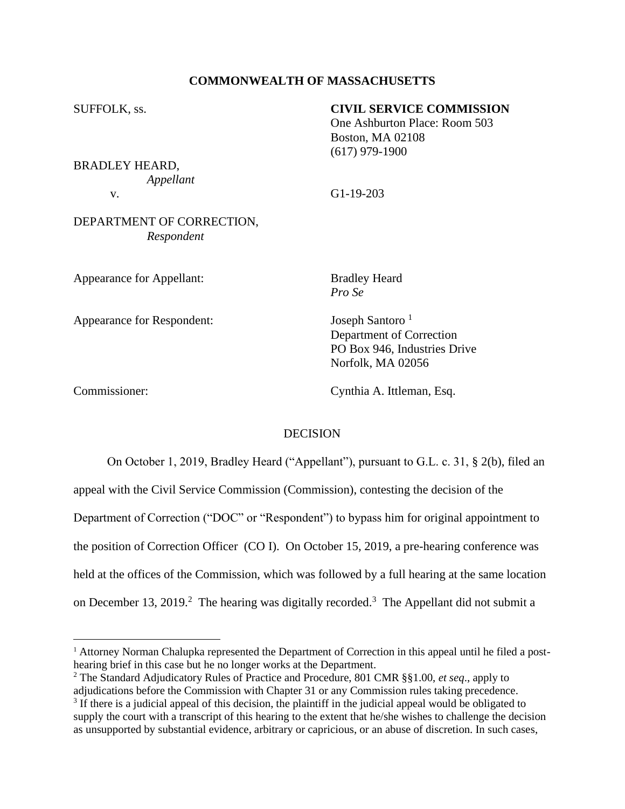# **COMMONWEALTH OF MASSACHUSETTS**

# SUFFOLK, ss. **CIVIL SERVICE COMMISSION**

One Ashburton Place: Room 503 Boston, MA 02108 (617) 979-1900

BRADLEY HEARD, *Appellant*

v. G1-19-203

# DEPARTMENT OF CORRECTION, *Respondent*

Appearance for Appellant: Bradley Heard

*Pro Se*

Appearance for Respondent: Joseph Santoro <sup>1</sup>

Department of Correction PO Box 946, Industries Drive Norfolk, MA 02056

Commissioner: Cynthia A. Ittleman, Esq.

# DECISION

On October 1, 2019, Bradley Heard ("Appellant"), pursuant to G.L. c. 31, § 2(b), filed an

appeal with the Civil Service Commission (Commission), contesting the decision of the

Department of Correction ("DOC" or "Respondent") to bypass him for original appointment to

the position of Correction Officer (CO I). On October 15, 2019, a pre-hearing conference was

held at the offices of the Commission, which was followed by a full hearing at the same location

on December 13, 2019. <sup>2</sup> The hearing was digitally recorded.<sup>3</sup> The Appellant did not submit a

<sup>1</sup> Attorney Norman Chalupka represented the Department of Correction in this appeal until he filed a posthearing brief in this case but he no longer works at the Department.

<sup>2</sup> The Standard Adjudicatory Rules of Practice and Procedure, 801 CMR §§1.00, *et seq*., apply to

adjudications before the Commission with Chapter 31 or any Commission rules taking precedence. <sup>3</sup> If there is a judicial appeal of this decision, the plaintiff in the judicial appeal would be obligated to supply the court with a transcript of this hearing to the extent that he/she wishes to challenge the decision as unsupported by substantial evidence, arbitrary or capricious, or an abuse of discretion. In such cases,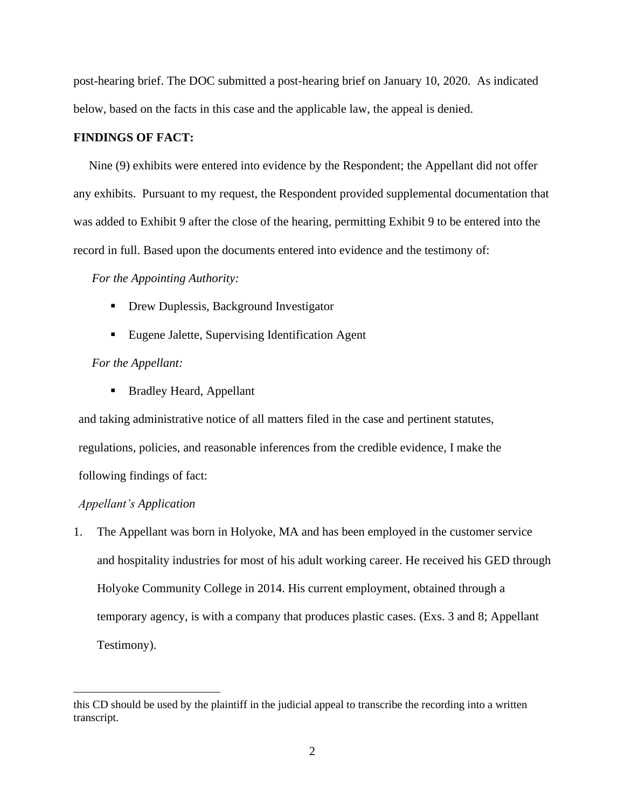post-hearing brief. The DOC submitted a post-hearing brief on January 10, 2020. As indicated below, based on the facts in this case and the applicable law, the appeal is denied.

### **FINDINGS OF FACT:**

 Nine (9) exhibits were entered into evidence by the Respondent; the Appellant did not offer any exhibits. Pursuant to my request, the Respondent provided supplemental documentation that was added to Exhibit 9 after the close of the hearing, permitting Exhibit 9 to be entered into the record in full. Based upon the documents entered into evidence and the testimony of:

### *For the Appointing Authority:*

- Drew Duplessis, Background Investigator
- Eugene Jalette, Supervising Identification Agent

#### *For the Appellant:*

■ Bradley Heard, Appellant

and taking administrative notice of all matters filed in the case and pertinent statutes, regulations, policies, and reasonable inferences from the credible evidence, I make the following findings of fact:

#### *Appellant's Application*

1. The Appellant was born in Holyoke, MA and has been employed in the customer service and hospitality industries for most of his adult working career. He received his GED through Holyoke Community College in 2014. His current employment, obtained through a temporary agency, is with a company that produces plastic cases. (Exs. 3 and 8; Appellant Testimony).

this CD should be used by the plaintiff in the judicial appeal to transcribe the recording into a written transcript.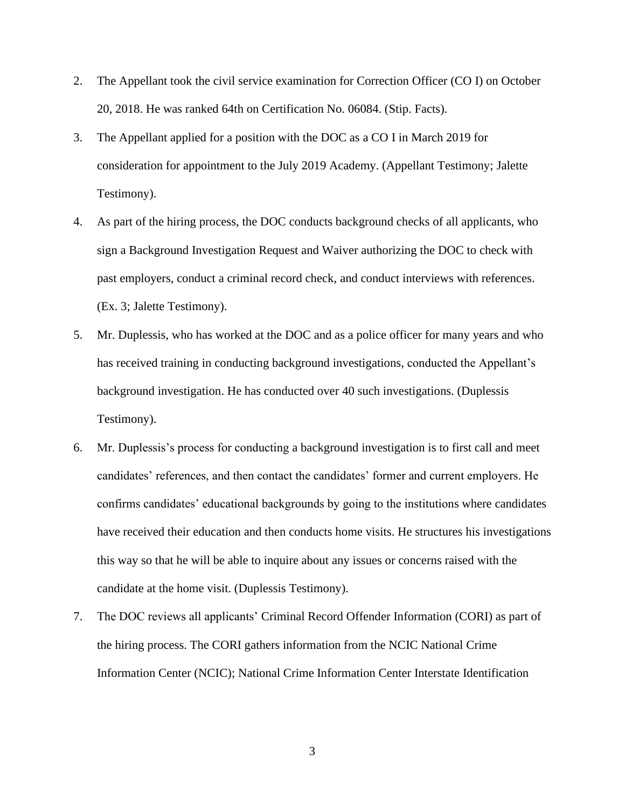- 2. The Appellant took the civil service examination for Correction Officer (CO I) on October 20, 2018. He was ranked 64th on Certification No. 06084. (Stip. Facts).
- 3. The Appellant applied for a position with the DOC as a CO I in March 2019 for consideration for appointment to the July 2019 Academy. (Appellant Testimony; Jalette Testimony).
- 4. As part of the hiring process, the DOC conducts background checks of all applicants, who sign a Background Investigation Request and Waiver authorizing the DOC to check with past employers, conduct a criminal record check, and conduct interviews with references. (Ex. 3; Jalette Testimony).
- 5. Mr. Duplessis, who has worked at the DOC and as a police officer for many years and who has received training in conducting background investigations, conducted the Appellant's background investigation. He has conducted over 40 such investigations. (Duplessis Testimony).
- 6. Mr. Duplessis's process for conducting a background investigation is to first call and meet candidates' references, and then contact the candidates' former and current employers. He confirms candidates' educational backgrounds by going to the institutions where candidates have received their education and then conducts home visits. He structures his investigations this way so that he will be able to inquire about any issues or concerns raised with the candidate at the home visit. (Duplessis Testimony).
- 7. The DOC reviews all applicants' Criminal Record Offender Information (CORI) as part of the hiring process. The CORI gathers information from the NCIC National Crime Information Center (NCIC); National Crime Information Center Interstate Identification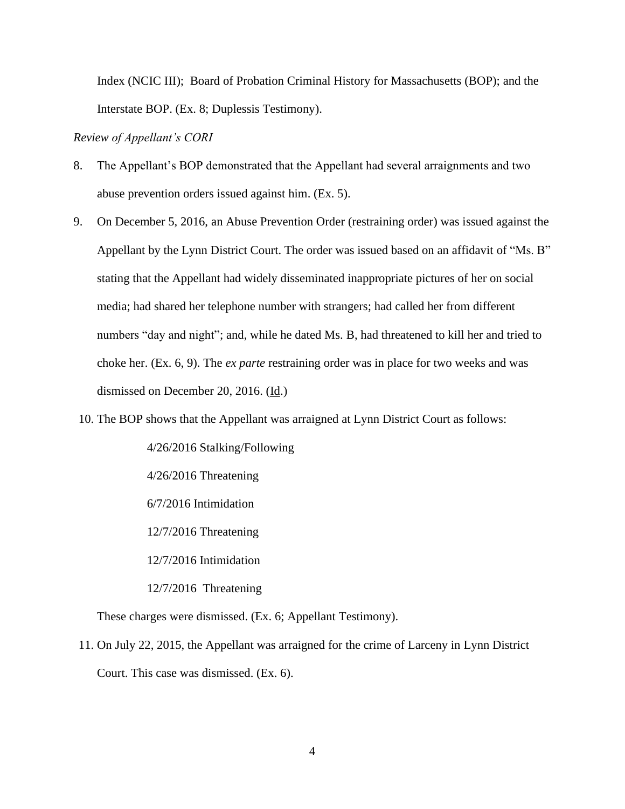Index (NCIC III); Board of Probation Criminal History for Massachusetts (BOP); and the Interstate BOP. (Ex. 8; Duplessis Testimony).

*Review of Appellant's CORI* 

- 8. The Appellant's BOP demonstrated that the Appellant had several arraignments and two abuse prevention orders issued against him. (Ex. 5).
- 9. On December 5, 2016, an Abuse Prevention Order (restraining order) was issued against the Appellant by the Lynn District Court. The order was issued based on an affidavit of "Ms. B" stating that the Appellant had widely disseminated inappropriate pictures of her on social media; had shared her telephone number with strangers; had called her from different numbers "day and night"; and, while he dated Ms. B, had threatened to kill her and tried to choke her. (Ex. 6, 9). The *ex parte* restraining order was in place for two weeks and was dismissed on December 20, 2016. (Id.)
- 10. The BOP shows that the Appellant was arraigned at Lynn District Court as follows:

4/26/2016 Stalking/Following 4/26/2016 Threatening 6/7/2016 Intimidation 12/7/2016 Threatening 12/7/2016 Intimidation

12/7/2016 Threatening

These charges were dismissed. (Ex. 6; Appellant Testimony).

11. On July 22, 2015, the Appellant was arraigned for the crime of Larceny in Lynn District Court. This case was dismissed. (Ex. 6).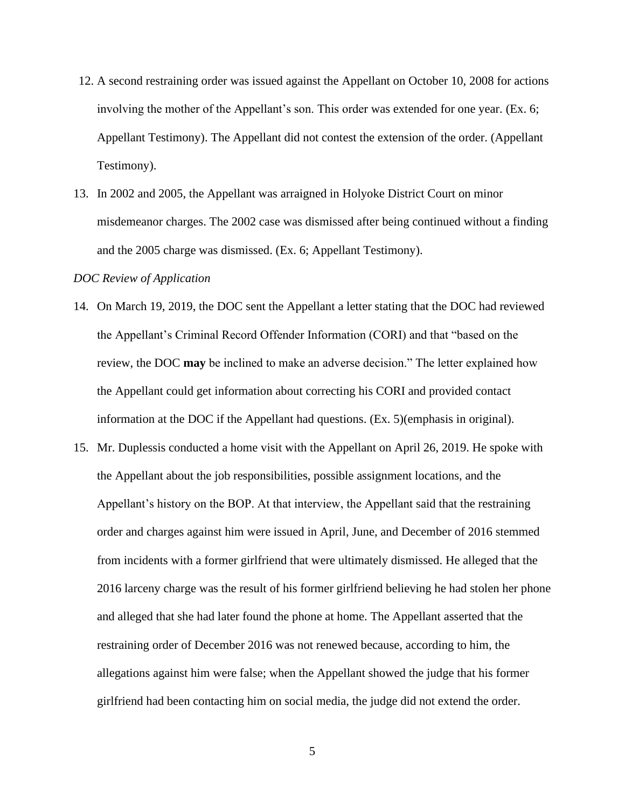- 12. A second restraining order was issued against the Appellant on October 10, 2008 for actions involving the mother of the Appellant's son. This order was extended for one year. (Ex. 6; Appellant Testimony). The Appellant did not contest the extension of the order. (Appellant Testimony).
- 13. In 2002 and 2005, the Appellant was arraigned in Holyoke District Court on minor misdemeanor charges. The 2002 case was dismissed after being continued without a finding and the 2005 charge was dismissed. (Ex. 6; Appellant Testimony).

### *DOC Review of Application*

- 14. On March 19, 2019, the DOC sent the Appellant a letter stating that the DOC had reviewed the Appellant's Criminal Record Offender Information (CORI) and that "based on the review, the DOC **may** be inclined to make an adverse decision." The letter explained how the Appellant could get information about correcting his CORI and provided contact information at the DOC if the Appellant had questions. (Ex. 5)(emphasis in original).
- 15. Mr. Duplessis conducted a home visit with the Appellant on April 26, 2019. He spoke with the Appellant about the job responsibilities, possible assignment locations, and the Appellant's history on the BOP. At that interview, the Appellant said that the restraining order and charges against him were issued in April, June, and December of 2016 stemmed from incidents with a former girlfriend that were ultimately dismissed. He alleged that the 2016 larceny charge was the result of his former girlfriend believing he had stolen her phone and alleged that she had later found the phone at home. The Appellant asserted that the restraining order of December 2016 was not renewed because, according to him, the allegations against him were false; when the Appellant showed the judge that his former girlfriend had been contacting him on social media, the judge did not extend the order.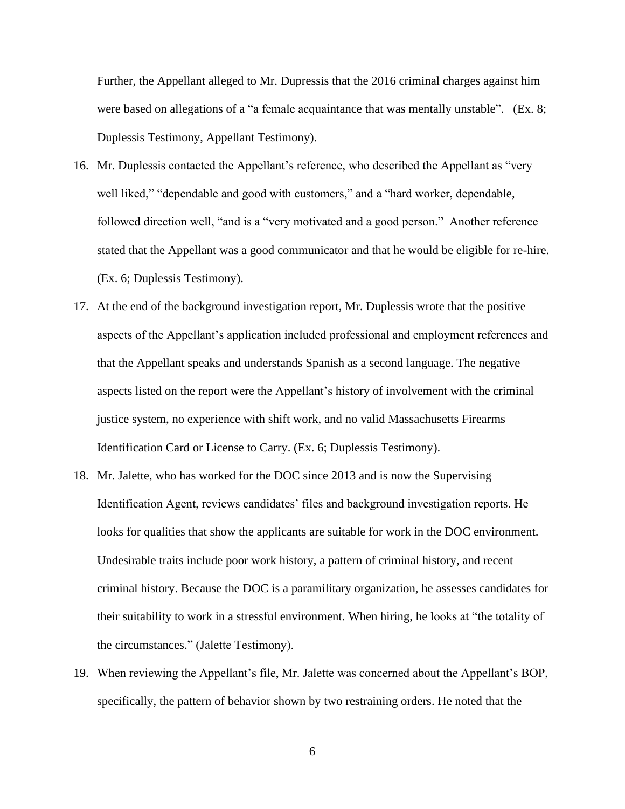Further, the Appellant alleged to Mr. Dupressis that the 2016 criminal charges against him were based on allegations of a "a female acquaintance that was mentally unstable". (Ex. 8; Duplessis Testimony, Appellant Testimony).

- 16. Mr. Duplessis contacted the Appellant's reference, who described the Appellant as "very well liked," "dependable and good with customers," and a "hard worker, dependable, followed direction well, "and is a "very motivated and a good person." Another reference stated that the Appellant was a good communicator and that he would be eligible for re-hire. (Ex. 6; Duplessis Testimony).
- 17. At the end of the background investigation report, Mr. Duplessis wrote that the positive aspects of the Appellant's application included professional and employment references and that the Appellant speaks and understands Spanish as a second language. The negative aspects listed on the report were the Appellant's history of involvement with the criminal justice system, no experience with shift work, and no valid Massachusetts Firearms Identification Card or License to Carry. (Ex. 6; Duplessis Testimony).
- 18. Mr. Jalette, who has worked for the DOC since 2013 and is now the Supervising Identification Agent, reviews candidates' files and background investigation reports. He looks for qualities that show the applicants are suitable for work in the DOC environment. Undesirable traits include poor work history, a pattern of criminal history, and recent criminal history. Because the DOC is a paramilitary organization, he assesses candidates for their suitability to work in a stressful environment. When hiring, he looks at "the totality of the circumstances." (Jalette Testimony).
- 19. When reviewing the Appellant's file, Mr. Jalette was concerned about the Appellant's BOP, specifically, the pattern of behavior shown by two restraining orders. He noted that the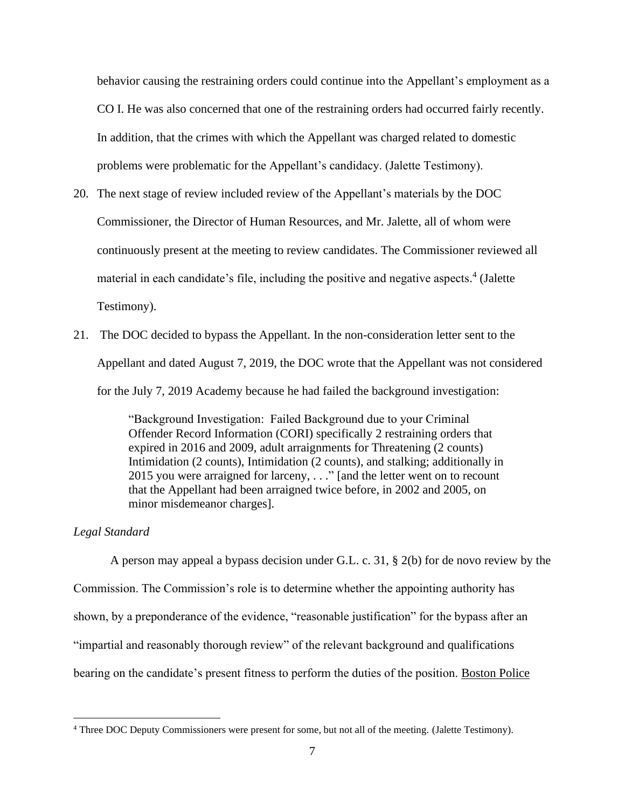behavior causing the restraining orders could continue into the Appellant's employment as a CO I. He was also concerned that one of the restraining orders had occurred fairly recently. In addition, that the crimes with which the Appellant was charged related to domestic problems were problematic for the Appellant's candidacy. (Jalette Testimony).

- 20. The next stage of review included review of the Appellant's materials by the DOC Commissioner, the Director of Human Resources, and Mr. Jalette, all of whom were continuously present at the meeting to review candidates. The Commissioner reviewed all material in each candidate's file, including the positive and negative aspects. 4 (Jalette Testimony).
- 21. The DOC decided to bypass the Appellant. In the non-consideration letter sent to the Appellant and dated August 7, 2019, the DOC wrote that the Appellant was not considered for the July 7, 2019 Academy because he had failed the background investigation:

"Background Investigation: Failed Background due to your Criminal Offender Record Information (CORI) specifically 2 restraining orders that expired in 2016 and 2009, adult arraignments for Threatening (2 counts) Intimidation (2 counts), Intimidation (2 counts), and stalking; additionally in 2015 you were arraigned for larceny, . . ." [and the letter went on to recount that the Appellant had been arraigned twice before, in 2002 and 2005, on minor misdemeanor charges].

#### *Legal Standard*

A person may appeal a bypass decision under G.L. c. 31, § 2(b) for de novo review by the Commission. The Commission's role is to determine whether the appointing authority has shown, by a preponderance of the evidence, "reasonable justification" for the bypass after an "impartial and reasonably thorough review" of the relevant background and qualifications bearing on the candidate's present fitness to perform the duties of the position. Boston Police

<sup>4</sup> Three DOC Deputy Commissioners were present for some, but not all of the meeting. (Jalette Testimony).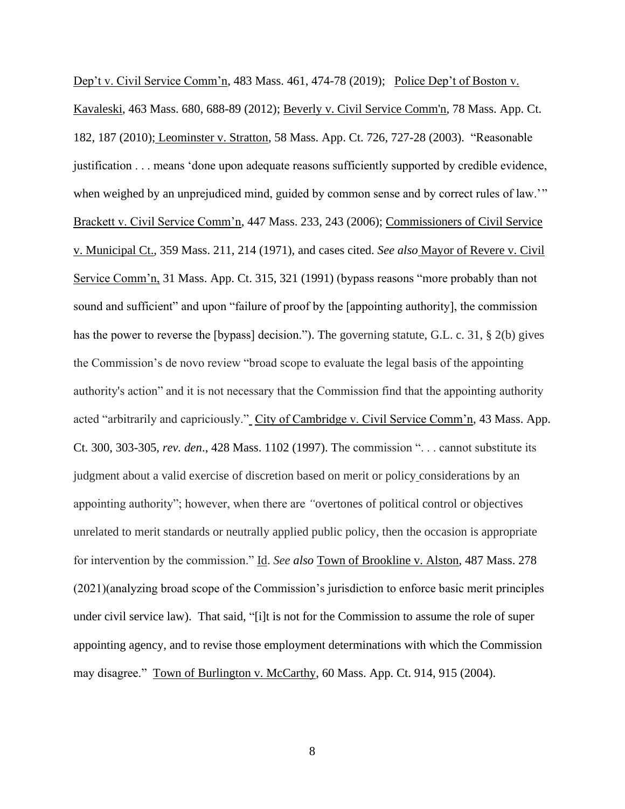Dep't v. Civil Service Comm'n, 483 Mass. 461, 474-78 (2019); Police Dep't of Boston v. Kavaleski, 463 Mass. 680, 688-89 (2012); Beverly v. Civil Service Comm'n, 78 Mass. App. Ct. 182, 187 (2010); Leominster v. Stratton, 58 Mass. App. Ct. 726, 727-28 (2003). "Reasonable justification . . . means 'done upon adequate reasons sufficiently supported by credible evidence, when weighed by an unprejudiced mind, guided by common sense and by correct rules of law.'" Brackett v. Civil Service Comm'n, 447 Mass. 233, 243 (2006); Commissioners of Civil Service v. Municipal Ct., 359 Mass. 211, 214 (1971), and cases cited. *See also* Mayor of Revere v. Civil Service Comm'n, 31 Mass. App. Ct. 315, 321 (1991) (bypass reasons "more probably than not sound and sufficient" and upon "failure of proof by the [appointing authority], the commission has the power to reverse the [bypass] decision."). The governing statute, G.L. c. 31, § 2(b) gives the Commission's de novo review "broad scope to evaluate the legal basis of the appointing authority's action" and it is not necessary that the Commission find that the appointing authority acted "arbitrarily and capriciously." City of Cambridge v. Civil Service Comm'n, 43 Mass. App. Ct. 300, 303-305, *rev. den*., 428 Mass. 1102 (1997). The commission ". . . cannot substitute its judgment about a valid exercise of discretion based on merit or policy considerations by an appointing authority"; however, when there are *"*overtones of political control or objectives unrelated to merit standards or neutrally applied public policy, then the occasion is appropriate for intervention by the commission." Id. *See also* Town of Brookline v. Alston, 487 Mass. 278 (2021)(analyzing broad scope of the Commission's jurisdiction to enforce basic merit principles under civil service law). That said, "[i]t is not for the Commission to assume the role of super appointing agency, and to revise those employment determinations with which the Commission may disagree." Town of Burlington v. McCarthy, 60 Mass. App. Ct. 914, 915 (2004).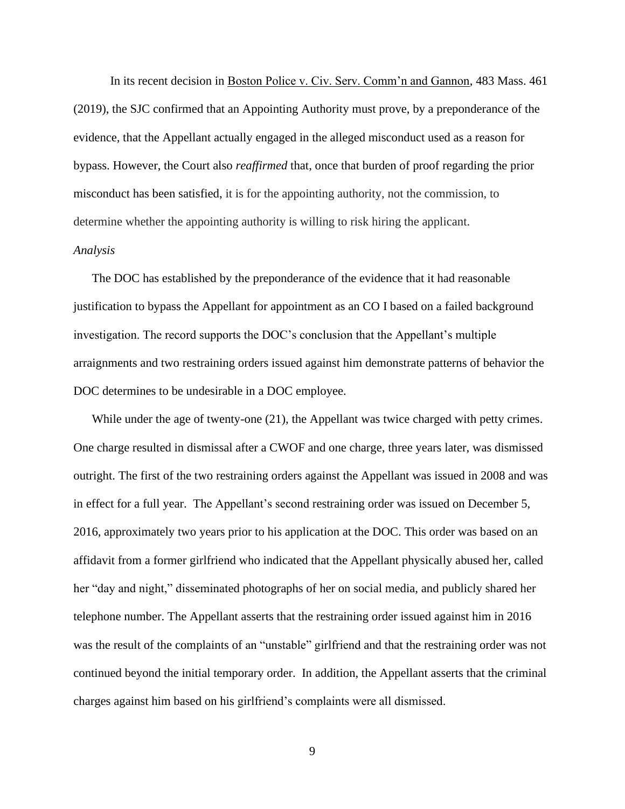In its recent decision in Boston Police v. Civ. Serv. Comm'n and Gannon, 483 Mass. 461 (2019), the SJC confirmed that an Appointing Authority must prove, by a preponderance of the evidence*,* that the Appellant actually engaged in the alleged misconduct used as a reason for bypass. However, the Court also *reaffirmed* that, once that burden of proof regarding the prior misconduct has been satisfied, it is for the appointing authority, not the commission, to determine whether the appointing authority is willing to risk hiring the applicant.

### *Analysis*

The DOC has established by the preponderance of the evidence that it had reasonable justification to bypass the Appellant for appointment as an CO I based on a failed background investigation. The record supports the DOC's conclusion that the Appellant's multiple arraignments and two restraining orders issued against him demonstrate patterns of behavior the DOC determines to be undesirable in a DOC employee.

While under the age of twenty-one  $(21)$ , the Appellant was twice charged with petty crimes. One charge resulted in dismissal after a CWOF and one charge, three years later, was dismissed outright. The first of the two restraining orders against the Appellant was issued in 2008 and was in effect for a full year. The Appellant's second restraining order was issued on December 5, 2016, approximately two years prior to his application at the DOC. This order was based on an affidavit from a former girlfriend who indicated that the Appellant physically abused her, called her "day and night," disseminated photographs of her on social media, and publicly shared her telephone number. The Appellant asserts that the restraining order issued against him in 2016 was the result of the complaints of an "unstable" girlfriend and that the restraining order was not continued beyond the initial temporary order. In addition, the Appellant asserts that the criminal charges against him based on his girlfriend's complaints were all dismissed.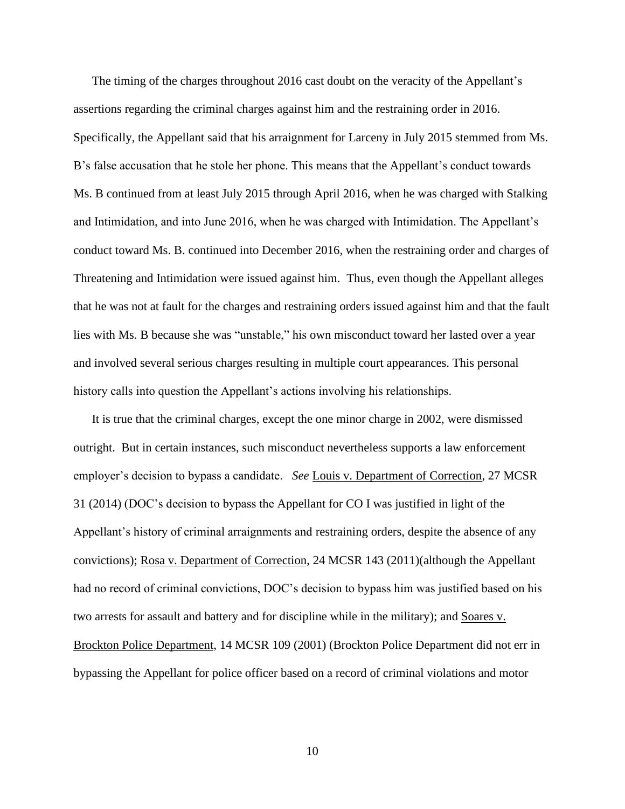The timing of the charges throughout 2016 cast doubt on the veracity of the Appellant's assertions regarding the criminal charges against him and the restraining order in 2016. Specifically, the Appellant said that his arraignment for Larceny in July 2015 stemmed from Ms. B's false accusation that he stole her phone. This means that the Appellant's conduct towards Ms. B continued from at least July 2015 through April 2016, when he was charged with Stalking and Intimidation, and into June 2016, when he was charged with Intimidation. The Appellant's conduct toward Ms. B. continued into December 2016, when the restraining order and charges of Threatening and Intimidation were issued against him. Thus, even though the Appellant alleges that he was not at fault for the charges and restraining orders issued against him and that the fault lies with Ms. B because she was "unstable," his own misconduct toward her lasted over a year and involved several serious charges resulting in multiple court appearances. This personal history calls into question the Appellant's actions involving his relationships.

It is true that the criminal charges, except the one minor charge in 2002, were dismissed outright. But in certain instances, such misconduct nevertheless supports a law enforcement employer's decision to bypass a candidate. *See* Louis v. Department of Correction, 27 MCSR 31 (2014) (DOC's decision to bypass the Appellant for CO I was justified in light of the Appellant's history of criminal arraignments and restraining orders, despite the absence of any convictions); Rosa v. Department of Correction, 24 MCSR 143 (2011)(although the Appellant had no record of criminal convictions, DOC's decision to bypass him was justified based on his two arrests for assault and battery and for discipline while in the military); and Soares v. Brockton Police Department, 14 MCSR 109 (2001) (Brockton Police Department did not err in bypassing the Appellant for police officer based on a record of criminal violations and motor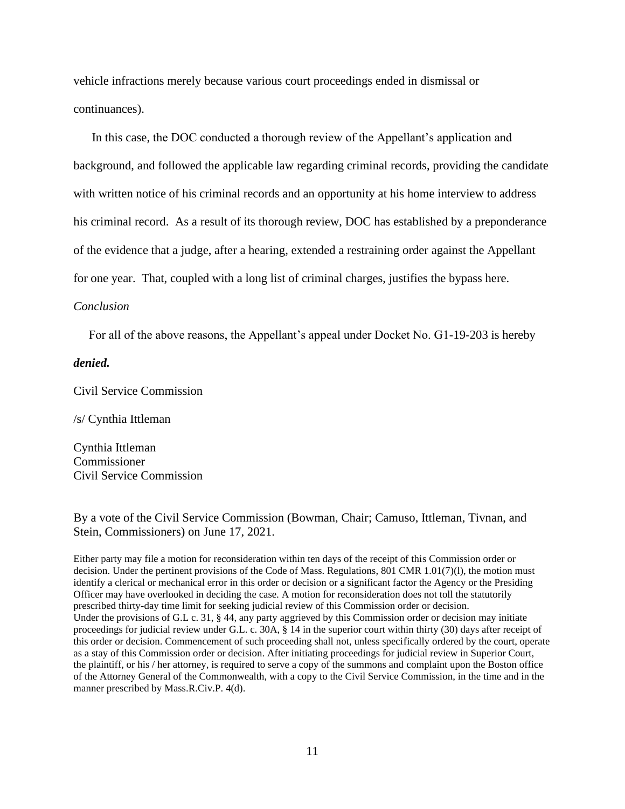vehicle infractions merely because various court proceedings ended in dismissal or continuances).

In this case, the DOC conducted a thorough review of the Appellant's application and background, and followed the applicable law regarding criminal records, providing the candidate with written notice of his criminal records and an opportunity at his home interview to address his criminal record. As a result of its thorough review, DOC has established by a preponderance of the evidence that a judge, after a hearing, extended a restraining order against the Appellant for one year. That, coupled with a long list of criminal charges, justifies the bypass here.

#### *Conclusion*

For all of the above reasons, the Appellant's appeal under Docket No. G1-19-203 is hereby

#### *denied.*

Civil Service Commission

/s/ Cynthia Ittleman

Cynthia Ittleman Commissioner Civil Service Commission

By a vote of the Civil Service Commission (Bowman, Chair; Camuso, Ittleman, Tivnan, and Stein, Commissioners) on June 17, 2021.

Either party may file a motion for reconsideration within ten days of the receipt of this Commission order or decision. Under the pertinent provisions of the Code of Mass. Regulations, 801 CMR 1.01(7)(l), the motion must identify a clerical or mechanical error in this order or decision or a significant factor the Agency or the Presiding Officer may have overlooked in deciding the case. A motion for reconsideration does not toll the statutorily prescribed thirty-day time limit for seeking judicial review of this Commission order or decision. Under the provisions of G.L c. 31, § 44, any party aggrieved by this Commission order or decision may initiate proceedings for judicial review under G.L. c. 30A, § 14 in the superior court within thirty (30) days after receipt of this order or decision. Commencement of such proceeding shall not, unless specifically ordered by the court, operate as a stay of this Commission order or decision. After initiating proceedings for judicial review in Superior Court, the plaintiff, or his / her attorney, is required to serve a copy of the summons and complaint upon the Boston office of the Attorney General of the Commonwealth, with a copy to the Civil Service Commission, in the time and in the manner prescribed by Mass.R.Civ.P. 4(d).